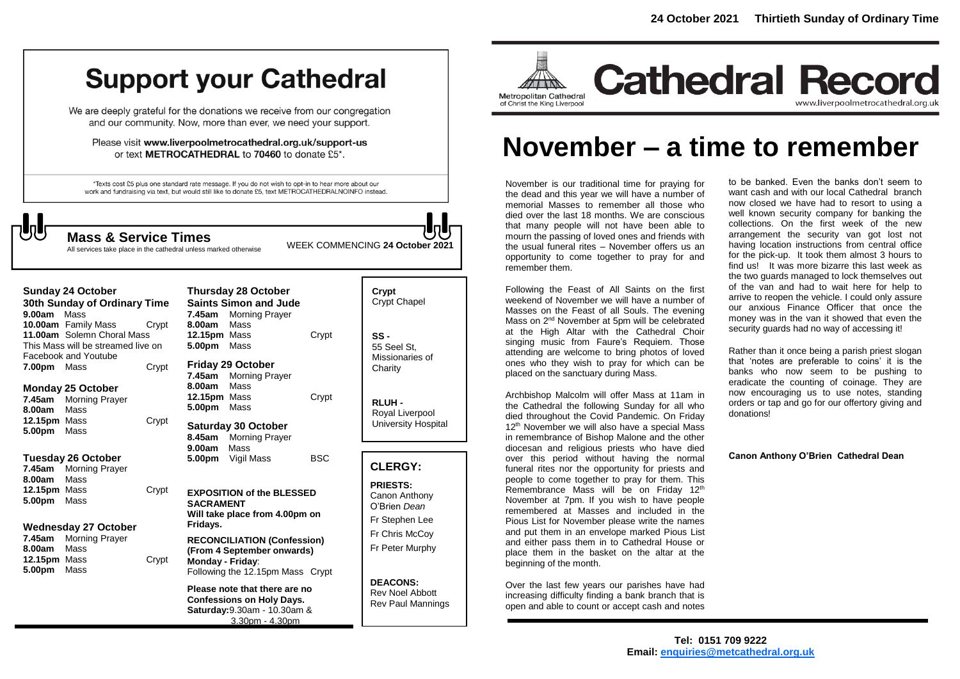# **Support your Cathedral**

We are deeply grateful for the donations we receive from our congregation and our community. Now, more than ever, we need your support.

Please visit www.liverpoolmetrocathedral.org.uk/support-us or text METROCATHEDRAL to 70460 to donate £5\*.

\*Texts cost £5 plus one standard rate message. If you do not wish to opt-in to hear more about our work and fundraising via text, but would still like to donate £5, text METROCATHEDRALNOINFO instead.



All services take place in the cathedral unless marked otherwise

| 9.00am                           | Sunday 24 October<br>30th Sunday of Ordinary Time<br>Mass                               |       | 7.45am                                                                                             | <b>Thursday 28 October</b><br><b>Saints Simon and Jude</b><br><b>Morning Prayer</b>                                    |                                                                    | Crypt<br>Crypt Chapel                                                 |
|----------------------------------|-----------------------------------------------------------------------------------------|-------|----------------------------------------------------------------------------------------------------|------------------------------------------------------------------------------------------------------------------------|--------------------------------------------------------------------|-----------------------------------------------------------------------|
|                                  | 10.00am Family Mass<br>11.00am Solemn Choral Mass<br>This Mass will be streamed live on | Crypt | 8.00am<br>12.15pm Mass<br>5.00pm                                                                   | Mass<br>Mass                                                                                                           | Crypt                                                              | $SS -$<br>55 Seel St.                                                 |
| 7.00pm Mass                      | Facebook and Youtube                                                                    | Crypt | 7.45am                                                                                             | <b>Friday 29 October</b><br><b>Morning Prayer</b>                                                                      |                                                                    | Missionaries of<br>Charity                                            |
| 7.45am<br>8.00am                 | Monday 25 October<br>Morning Prayer<br>Mass                                             |       | 8.00am<br>12.15pm Mass<br>5.00pm                                                                   | Mass<br>Mass                                                                                                           | Crypt                                                              | RLUH-<br>Royal Liverpool                                              |
| 12.15pm Mass<br>5.00pm           | Mass                                                                                    | Crypt | 8.45am                                                                                             | <b>Saturday 30 October</b><br><b>Morning Prayer</b>                                                                    |                                                                    | University Hospital                                                   |
| 7.45am<br>8.00am                 | Tuesday 26 October<br><b>Morning Prayer</b><br>Mass                                     |       | 9.00am<br>5.00pm                                                                                   | Mass<br>Vigil Mass                                                                                                     | <b>BSC</b>                                                         | <b>CLERGY:</b>                                                        |
| <b>12.15pm</b> Mass<br>5.00pm    | Mass                                                                                    | Crypt | <b>EXPOSITION of the BLESSED</b><br><b>SACRAMENT</b><br>Will take place from 4.00pm on<br>Fridays. |                                                                                                                        | <b>PRIESTS:</b><br>Canon Anthony<br>O'Brien Dean<br>Fr Stephen Lee |                                                                       |
| 7.45am                           | Wednesday 27 October<br><b>Morning Prayer</b>                                           |       |                                                                                                    | <b>RECONCILIATION (Confession)</b>                                                                                     |                                                                    | Fr Chris McCoy                                                        |
| 8.00am<br>12.15pm Mass<br>5.00pm | Mass<br>Mass                                                                            | Crypt | Monday - Friday:                                                                                   | (From 4 September onwards)<br>Following the 12.15pm Mass Crypt                                                         |                                                                    | Fr Peter Murphy                                                       |
|                                  |                                                                                         |       |                                                                                                    | Please note that there are no<br><b>Confessions on Holy Days.</b><br>Saturday: 9.30am - 10.30am &<br>$3.30nm - 4.30nm$ |                                                                    | <b>DEACONS:</b><br><b>Rev Noel Abbott</b><br><b>Rev Paul Mannings</b> |

|            | Crypt<br><b>Crypt Chapel</b>                      |
|------------|---------------------------------------------------|
| Crypt      | SS -<br>55 Seel St.<br>Missionaries of<br>Charity |
| Crypt      | RLUH -<br>Royal Liverpool<br>University Hospital  |
|            |                                                   |
| <b>BSC</b> | <b>CLERGY:</b>                                    |
| Ð          | <b>PRIESTS:</b><br>Canon Anthony                  |
| on         | O'Brien Dean<br>Fr Stephen Lee                    |
| ion)<br>5) | Fr Chris McCoy<br>Fr Peter Murphy                 |



# **November – a time to remember**

November is our traditional time for praying for the dead and this year we will have a number of memorial Masses to remember all those who died over the last 18 months. We are conscious that many people will not have been able to mourn the passing of loved ones and friends with the usual funeral rites – November offers us an opportunity to come together to pray for and remember them. **Mass & Service Times**<br>All services take place in the cathedral unless marked otherwise WEEK COMMENCING 24 October 2021<br>
Mass the usual funeral rites – November offers us are opportunity to come together to pray for and<br>

> Following the Feast of All Saints on the first weekend of November we will have a number of Masses on the Feast of all Souls. The evening Mass on 2<sup>nd</sup> November at 5pm will be celebrated at the High Altar with the Cathedral Choir singing music from Faure's Requiem. Those attending are welcome to bring photos of loved ones who they wish to pray for which can be placed on the sanctuary during Mass.

Archbishop Malcolm will offer Mass at 11am in the Cathedral the following Sunday for all who died throughout the Covid Pandemic. On Friday 12<sup>th</sup> November we will also have a special Mass in remembrance of Bishop Malone and the other diocesan and religious priests who have died over this period without having the normal funeral rites nor the opportunity for priests and people to come together to pray for them. This Remembrance Mass will be on Friday 12<sup>th</sup> November at 7pm. If you wish to have people remembered at Masses and included in the Pious List for November please write the names and put them in an envelope marked Pious List and either pass them in to Cathedral House or place them in the basket on the altar at the beginning of the month.

Over the last few years our parishes have had increasing difficulty finding a bank branch that is open and able to count or accept cash and notes

to be banked. Even the banks don't seem to want cash and with our local Cathedral branch now closed we have had to resort to using a well known security company for banking the collections. On the first week of the new arrangement the security van got lost not having location instructions from central office for the pick-up. It took them almost 3 hours to find us! It was more bizarre this last week as the two guards managed to lock themselves out of the van and had to wait here for help to arrive to reopen the vehicle. I could only assure our anxious Finance Officer that once the money was in the van it showed that even the security guards had no way of accessing it!

Rather than it once being a parish priest slogan that 'notes are preferable to coins' it is the banks who now seem to be pushing to eradicate the counting of coinage. They are now encouraging us to use notes, standing orders or tap and go for our offertory giving and donations!

**Canon Anthony O'Brien Cathedral Dean**